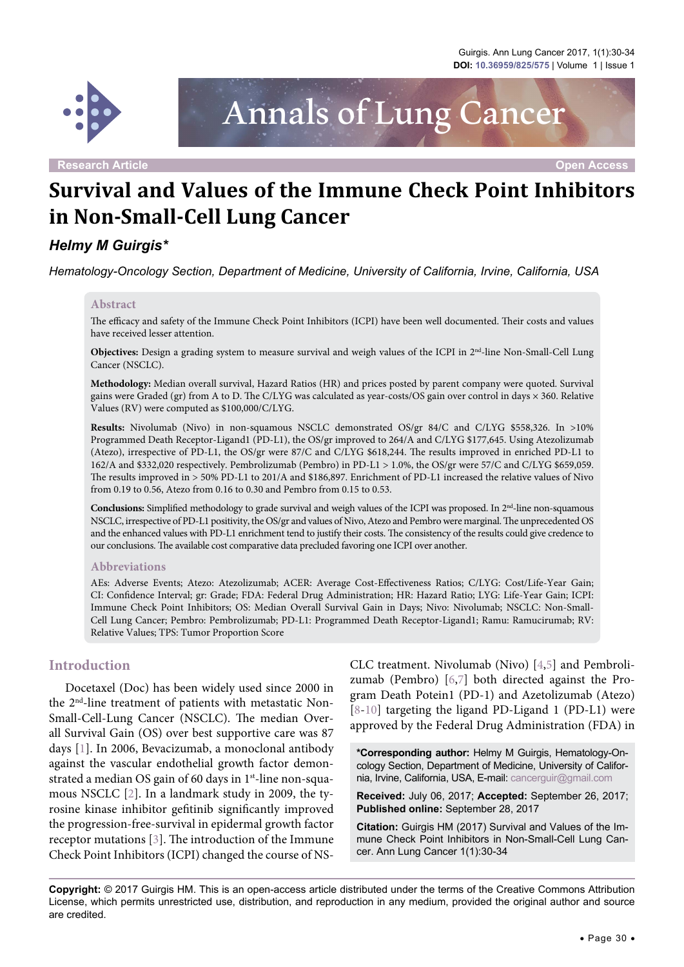

Annals of Lung Cancer

**Research Article Open Access**

# **Survival and Values of the Immune Check Point Inhibitors in Non-Small-Cell Lung Cancer**

# *Helmy M Guirgis\**

*Hematology-Oncology Section, Department of Medicine, University of California, Irvine, California, USA*

#### **Abstract**

The efficacy and safety of the Immune Check Point Inhibitors (ICPI) have been well documented. Their costs and values have received lesser attention.

**Objectives:** Design a grading system to measure survival and weigh values of the ICPI in 2<sup>nd</sup>-line Non-Small-Cell Lung Cancer (NSCLC).

**Methodology:** Median overall survival, Hazard Ratios (HR) and prices posted by parent company were quoted. Survival gains were Graded (gr) from A to D. The C/LYG was calculated as year-costs/OS gain over control in days × 360. Relative Values (RV) were computed as \$100,000/C/LYG.

**Results:** Nivolumab (Nivo) in non-squamous NSCLC demonstrated OS/gr 84/C and C/LYG \$558,326. In >10% Programmed Death Receptor-Ligand1 (PD-L1), the OS/gr improved to 264/A and C/LYG \$177,645. Using Atezolizumab (Atezo), irrespective of PD-L1, the OS/gr were 87/C and C/LYG \$618,244. The results improved in enriched PD-L1 to 162/A and \$332,020 respectively. Pembrolizumab (Pembro) in PD-L1 > 1.0%, the OS/gr were 57/C and C/LYG \$659,059. The results improved in > 50% PD-L1 to 201/A and \$186,897. Enrichment of PD-L1 increased the relative values of Nivo from 0.19 to 0.56, Atezo from 0.16 to 0.30 and Pembro from 0.15 to 0.53.

**Conclusions:** Simplified methodology to grade survival and weigh values of the ICPI was proposed. In 2nd-line non-squamous NSCLC, irrespective of PD-L1 positivity, the OS/gr and values of Nivo, Atezo and Pembro were marginal. The unprecedented OS and the enhanced values with PD-L1 enrichment tend to justify their costs. The consistency of the results could give credence to our conclusions. The available cost comparative data precluded favoring one ICPI over another.

#### **Abbreviations**

AEs: Adverse Events; Atezo: Atezolizumab; ACER: Average Cost-Effectiveness Ratios; C/LYG: Cost/Life-Year Gain; CI: Confidence Interval; gr: Grade; FDA: Federal Drug Administration; HR: Hazard Ratio; LYG: Life-Year Gain; ICPI: Immune Check Point Inhibitors; OS: Median Overall Survival Gain in Days; Nivo: Nivolumab; NSCLC: Non-Small-Cell Lung Cancer; Pembro: Pembrolizumab; PD-L1: Programmed Death Receptor-Ligand1; Ramu: Ramucirumab; RV: Relative Values; TPS: Tumor Proportion Score

#### **Introduction**

Docetaxel (Doc) has been widely used since 2000 in the 2nd-line treatment of patients with metastatic Non-Small-Cell-Lung Cancer (NSCLC). The median Overall Survival Gain (OS) over best supportive care was 87 days [\[1](#page-4-0)]. In 2006, Bevacizumab, a monoclonal antibody against the vascular endothelial growth factor demonstrated a median OS gain of 60 days in 1<sup>st</sup>-line non-squamous NSCLC [[2\]](#page-4-1). In a landmark study in 2009, the tyrosine kinase inhibitor gefitinib significantly improved the progression-free-survival in epidermal growth factor receptor mutations [\[3](#page-4-2)]. The introduction of the Immune Check Point Inhibitors (ICPI) changed the course of NS-

CLC treatment. Nivolumab (Nivo) [[4](#page-4-3)[,5\]](#page-4-4) and Pembrolizumab (Pembro) [[6](#page-4-5),[7\]](#page-4-6) both directed against the Program Death Potein1 (PD-1) and Azetolizumab (Atezo) [[8-](#page-4-7)[10](#page-4-8)] targeting the ligand PD-Ligand 1 (PD-L1) were approved by the Federal Drug Administration (FDA) in

**\*Corresponding author:** Helmy M Guirgis, Hematology-Oncology Section, Department of Medicine, University of California, Irvine, California, USA, E-mail: cancerguir@gmail.com

**Received:** July 06, 2017; **Accepted:** September 26, 2017; **Published online:** September 28, 2017

**Citation:** Guirgis HM (2017) Survival and Values of the Immune Check Point Inhibitors in Non-Small-Cell Lung Cancer. Ann Lung Cancer 1(1):30-34

**Copyright:** © 2017 Guirgis HM. This is an open-access article distributed under the terms of the Creative Commons Attribution License, which permits unrestricted use, distribution, and reproduction in any medium, provided the original author and source are credited.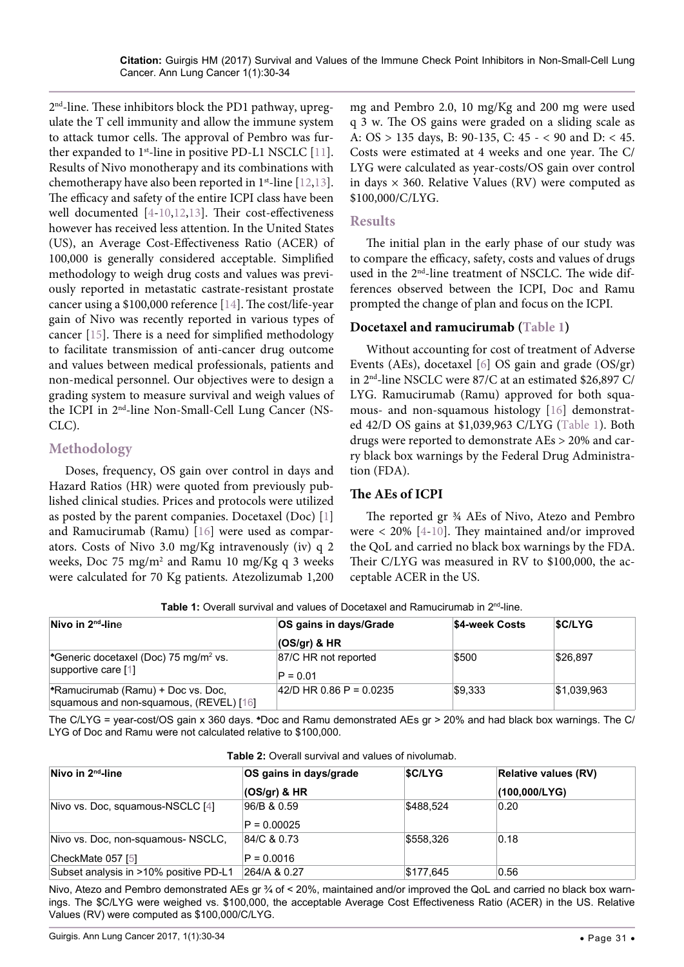2nd-line. These inhibitors block the PD1 pathway, upregulate the T cell immunity and allow the immune system to attack tumor cells. The approval of Pembro was fur-ther expanded to 1<sup>st</sup>-line in positive PD-L1 NSCLC [[11](#page-4-9)]. Results of Nivo monotherapy and its combinations with chemotherapy have also been reported in  $1^{st}$ -line [[12](#page-4-10),[13](#page-4-11)]. The efficacy and safety of the entire ICPI class have been well documented [[4](#page-4-3)[-10,](#page-4-8)[12,](#page-4-10)[13\]](#page-4-11). Their cost-effectiveness however has received less attention. In the United States (US), an Average Cost-Effectiveness Ratio (ACER) of 100,000 is generally considered acceptable. Simplified methodology to weigh drug costs and values was previously reported in metastatic castrate-resistant prostate cancer using a \$100,000 reference [\[14\]](#page-4-12). The cost/life-year gain of Nivo was recently reported in various types of cancer [\[15\]](#page-4-13). There is a need for simplified methodology to facilitate transmission of anti-cancer drug outcome and values between medical professionals, patients and non-medical personnel. Our objectives were to design a grading system to measure survival and weigh values of the ICPI in 2nd-line Non-Small-Cell Lung Cancer (NS-CLC).

# **Methodology**

Doses, frequency, OS gain over control in days and Hazard Ratios (HR) were quoted from previously published clinical studies. Prices and protocols were utilized as posted by the parent companies. Docetaxel (Doc) [\[1\]](#page-4-0) and Ramucirumab (Ramu) [\[16\]](#page-4-14) were used as comparators. Costs of Nivo 3.0 mg/Kg intravenously (iv) q 2 weeks, Doc 75 mg/m2 and Ramu 10 mg/Kg q 3 weeks were calculated for 70 Kg patients. Atezolizumab 1,200

mg and Pembro 2.0, 10 mg/Kg and 200 mg were used q 3 w. The OS gains were graded on a sliding scale as A: OS > 135 days, B: 90-135, C: 45 - < 90 and D: < 45. Costs were estimated at 4 weeks and one year. The C/ LYG were calculated as year-costs/OS gain over control in days  $\times$  360. Relative Values (RV) were computed as \$100,000/C/LYG.

## **Results**

The initial plan in the early phase of our study was to compare the efficacy, safety, costs and values of drugs used in the 2<sup>nd</sup>-line treatment of NSCLC. The wide differences observed between the ICPI, Doc and Ramu prompted the change of plan and focus on the ICPI.

## **Docetaxel and ramucirumab ([Table 1\)](#page-1-0)**

Without accounting for cost of treatment of Adverse Events (AEs), docetaxel [\[6\]](#page-4-5) OS gain and grade (OS/gr) in 2nd-line NSCLC were 87/C at an estimated \$26,897 C/ LYG. Ramucirumab (Ramu) approved for both squamous- and non-squamous histology [\[16\]](#page-4-14) demonstrated 42/D OS gains at \$1,039,963 C/LYG [\(Table 1\)](#page-1-0). Both drugs were reported to demonstrate AEs > 20% and carry black box warnings by the Federal Drug Administration (FDA).

#### **The AEs of ICPI**

The reported gr ¾ AEs of Nivo, Atezo and Pembro were < 20% [\[4](#page-4-3)[-10\]](#page-4-8). They maintained and/or improved the QoL and carried no black box warnings by the FDA. Their C/LYG was measured in RV to \$100,000, the acceptable ACER in the US.

<span id="page-1-0"></span>Table 1: Overall survival and values of Docetaxel and Ramucirumab in 2<sup>nd</sup>-line.

| Nivo in $2^{nd}$ -line                                                        | OS gains in days/Grade             | \$4-week Costs | <b>SC/LYG</b> |
|-------------------------------------------------------------------------------|------------------------------------|----------------|---------------|
|                                                                               | $\log$ (OS/gr) & HR                |                |               |
| *Generic docetaxel (Doc) 75 mg/m <sup>2</sup> vs.<br>supportive care [1]      | 87/C HR not reported<br>$P = 0.01$ | \$500          | \$26,897      |
| *Ramucirumab (Ramu) + Doc vs. Doc,<br>squamous and non-squamous, (REVEL) [16] | 42/D HR 0.86 P = 0.0235            | \$9,333        | \$1,039,963   |

The C/LYG = year-cost/OS gain x 360 days. ♣Doc and Ramu demonstrated AEs gr > 20% and had black box warnings. The C/ LYG of Doc and Ramu were not calculated relative to \$100,000.

<span id="page-1-1"></span>**Table 2:** Overall survival and values of nivolumab.

| Nivo in $2nd$ -line                    | OS gains in days/grade       | <b>SC/LYG</b> | <b>Relative values (RV)</b> |  |  |
|----------------------------------------|------------------------------|---------------|-----------------------------|--|--|
|                                        | $(OS/gr)$ & HR               |               | (100,000/LYG)               |  |  |
| Nivo vs. Doc, squamous-NSCLC [4]       | 96/B & 0.59<br>$P = 0.00025$ | \$488,524     | 0.20                        |  |  |
| Nivo vs. Doc. non-squamous- NSCLC.     | 84/C & 0.73                  | \$558,326     | 0.18                        |  |  |
| CheckMate 057 [5]                      | $P = 0.0016$                 |               |                             |  |  |
| Subset analysis in >10% positive PD-L1 | 264/A & 0.27                 | \$177,645     | 0.56                        |  |  |

Nivo, Atezo and Pembro demonstrated AEs gr 3/4 of < 20%, maintained and/or improved the QoL and carried no black box warnings. The \$C/LYG were weighed vs. \$100,000, the acceptable Average Cost Effectiveness Ratio (ACER) in the US. Relative Values (RV) were computed as \$100,000/C/LYG.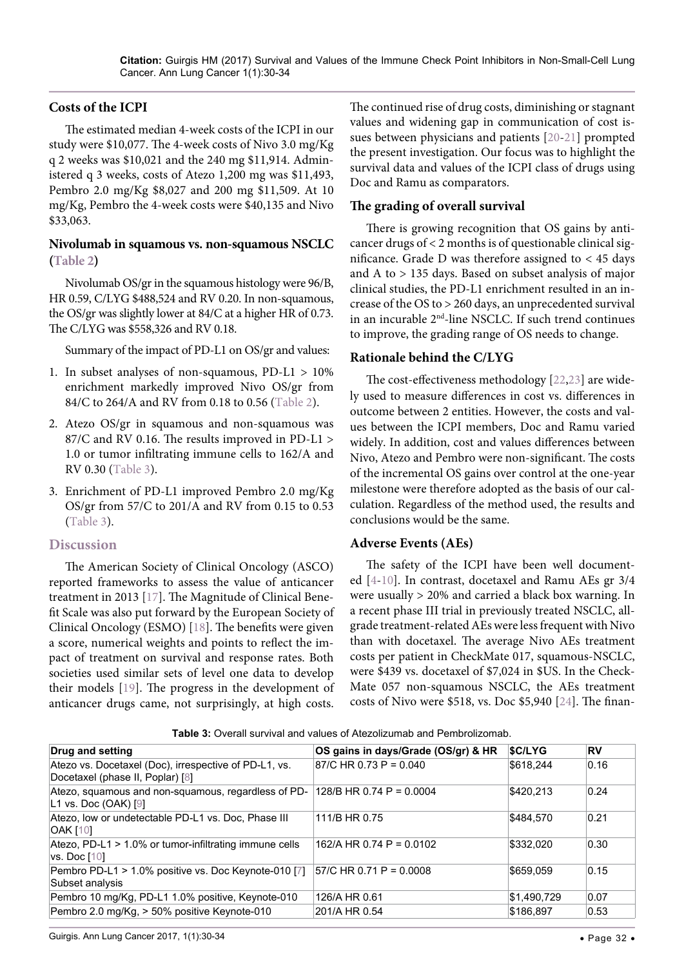#### **Costs of the ICPI**

The estimated median 4-week costs of the ICPI in our study were \$10,077. The 4-week costs of Nivo 3.0 mg/Kg q 2 weeks was \$10,021 and the 240 mg \$11,914. Administered q 3 weeks, costs of Atezo 1,200 mg was \$11,493, Pembro 2.0 mg/Kg \$8,027 and 200 mg \$11,509. At 10 mg/Kg, Pembro the 4-week costs were \$40,135 and Nivo \$33,063.

## **Nivolumab in squamous vs. non-squamous NSCLC ([Table 2\)](#page-1-1)**

Nivolumab OS/gr in the squamous histology were 96/B, HR 0.59, C/LYG \$488,524 and RV 0.20. In non-squamous, the OS/gr was slightly lower at 84/C at a higher HR of 0.73. The C/LYG was \$558,326 and RV 0.18.

Summary of the impact of PD-L1 on OS/gr and values:

- 1. In subset analyses of non-squamous, PD-L1 > 10% enrichment markedly improved Nivo OS/gr from 84/C to 264/A and RV from 0.18 to 0.56 [\(Table 2\)](#page-1-1).
- 2. Atezo OS/gr in squamous and non-squamous was 87/C and RV 0.16. The results improved in PD-L1 > 1.0 or tumor infiltrating immune cells to 162/A and RV 0.30 [\(Table 3\)](#page-2-0).
- 3. Enrichment of PD-L1 improved Pembro 2.0 mg/Kg OS/gr from 57/C to 201/A and RV from 0.15 to 0.53 [\(Table 3\)](#page-2-0).

#### **Discussion**

The American Society of Clinical Oncology (ASCO) reported frameworks to assess the value of anticancer treatment in 2013 [\[17\]](#page-4-20). The Magnitude of Clinical Benefit Scale was also put forward by the European Society of Clinical Oncology (ESMO) [\[18\]](#page-4-21). The benefits were given a score, numerical weights and points to reflect the impact of treatment on survival and response rates. Both societies used similar sets of level one data to develop their models [\[19\]](#page-4-22). The progress in the development of anticancer drugs came, not surprisingly, at high costs. The continued rise of drug costs, diminishing or stagnant values and widening gap in communication of cost issues between physicians and patients [[20](#page-4-15)[-21\]](#page-4-16) prompted the present investigation. Our focus was to highlight the survival data and values of the ICPI class of drugs using Doc and Ramu as comparators.

## **The grading of overall survival**

There is growing recognition that OS gains by anticancer drugs of < 2 months is of questionable clinical significance. Grade D was therefore assigned to < 45 days and A to > 135 days. Based on subset analysis of major clinical studies, the PD-L1 enrichment resulted in an increase of the OS to > 260 days, an unprecedented survival in an incurable 2nd-line NSCLC. If such trend continues to improve, the grading range of OS needs to change.

#### **Rationale behind the C/LYG**

The cost-effectiveness methodology [[22](#page-4-17),[23](#page-4-18)] are widely used to measure differences in cost vs. differences in outcome between 2 entities. However, the costs and values between the ICPI members, Doc and Ramu varied widely. In addition, cost and values differences between Nivo, Atezo and Pembro were non-significant. The costs of the incremental OS gains over control at the one-year milestone were therefore adopted as the basis of our calculation. Regardless of the method used, the results and conclusions would be the same.

#### **Adverse Events (AEs)**

The safety of the ICPI have been well documented [[4](#page-4-3)-[10](#page-4-8)]. In contrast, docetaxel and Ramu AEs gr 3/4 were usually > 20% and carried a black box warning. In a recent phase III trial in previously treated NSCLC, allgrade treatment-related AEs were less frequent with Nivo than with docetaxel. The average Nivo AEs treatment costs per patient in CheckMate 017, squamous-NSCLC, were \$439 vs. docetaxel of \$7,024 in \$US. In the Check-Mate 057 non-squamous NSCLC, the AEs treatment costs of Nivo were \$518, vs. Doc \$5,940 [\[24\]](#page-4-19). The finan-

<span id="page-2-0"></span>

|  | <b>Table 3:</b> Overall survival and values of Atezolizumab and Pembrolizomab. |
|--|--------------------------------------------------------------------------------|
|--|--------------------------------------------------------------------------------|

| Drug and setting                                                                                       | OS gains in days/Grade (OS/gr) & HR | <b>SC/LYG</b> | RV   |
|--------------------------------------------------------------------------------------------------------|-------------------------------------|---------------|------|
| Atezo vs. Docetaxel (Doc), irrespective of PD-L1, vs.<br>Docetaxel (phase II, Poplar) [8]              | $87/C$ HR 0.73 P = 0.040            | \$618,244     | 0.16 |
| Atezo, squamous and non-squamous, regardless of PD- $128/B$ HR 0.74 P = 0.0004<br>L1 vs. Doc (OAK) [9] |                                     | \$420.213     | 0.24 |
| Atezo, low or undetectable PD-L1 vs. Doc, Phase III<br><b>OAK [10]</b>                                 | 111/B HR 0.75                       | \$484.570     | 0.21 |
| Atezo, PD-L1 > 1.0% or tumor-infiltrating immune cells<br>vs. Doc [10]                                 | 162/A HR 0.74 P = 0.0102            | \$332.020     | 0.30 |
| Pembro PD-L1 > 1.0% positive vs. Doc Keynote-010 [7]<br>Subset analysis                                | $57/C$ HR 0.71 P = 0.0008           | \$659.059     | 0.15 |
| Pembro 10 mg/Kg, PD-L1 1.0% positive, Keynote-010                                                      | 126/A HR 0.61                       | \$1,490,729   | 0.07 |
| Pembro 2.0 mg/Kg, > 50% positive Keynote-010                                                           | 201/A HR 0.54                       | \$186.897     | 0.53 |

Guirgis. Ann Lung Cancer 2017, 1(1):30-34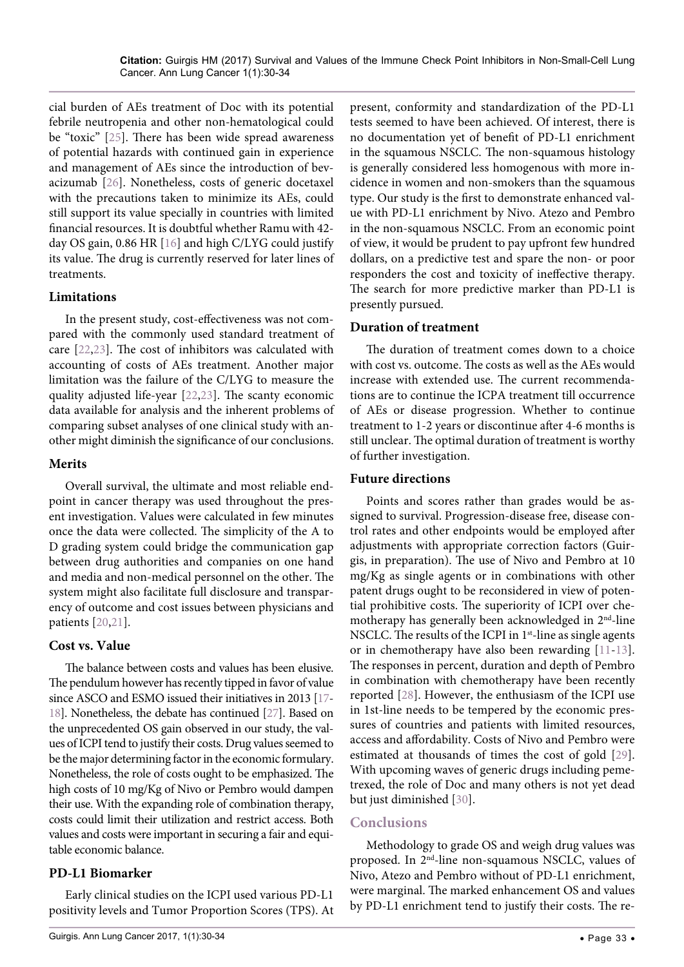cial burden of AEs treatment of Doc with its potential febrile neutropenia and other non-hematological could be "toxic" [[25](#page-4-27)]. There has been wide spread awareness of potential hazards with continued gain in experience and management of AEs since the introduction of bevacizumab [[26](#page-4-28)]. Nonetheless, costs of generic docetaxel with the precautions taken to minimize its AEs, could still support its value specially in countries with limited financial resources. It is doubtful whether Ramu with 42 day OS gain, 0.86 HR [\[16\]](#page-4-14) and high C/LYG could justify its value. The drug is currently reserved for later lines of treatments.

#### **Limitations**

In the present study, cost-effectiveness was not compared with the commonly used standard treatment of care [\[22](#page-4-17)[,23\]](#page-4-18). The cost of inhibitors was calculated with accounting of costs of AEs treatment. Another major limitation was the failure of the C/LYG to measure the quality adjusted life-year [[22](#page-4-17),[23](#page-4-18)]. The scanty economic data available for analysis and the inherent problems of comparing subset analyses of one clinical study with another might diminish the significance of our conclusions.

#### **Merits**

Overall survival, the ultimate and most reliable endpoint in cancer therapy was used throughout the present investigation. Values were calculated in few minutes once the data were collected. The simplicity of the A to D grading system could bridge the communication gap between drug authorities and companies on one hand and media and non-medical personnel on the other. The system might also facilitate full disclosure and transparency of outcome and cost issues between physicians and patients [[20](#page-4-15),[21](#page-4-16)].

## **Cost vs. Value**

The balance between costs and values has been elusive. The pendulum however has recently tipped in favor of value since ASCO and ESMO issued their initiatives in 2013 [[17-](#page-4-20) [18\]](#page-4-21). Nonetheless, the debate has continued [\[27](#page-4-29)]. Based on the unprecedented OS gain observed in our study, the values of ICPI tend to justify their costs. Drug values seemed to be the major determining factor in the economic formulary. Nonetheless, the role of costs ought to be emphasized. The high costs of 10 mg/Kg of Nivo or Pembro would dampen their use. With the expanding role of combination therapy, costs could limit their utilization and restrict access. Both values and costs were important in securing a fair and equitable economic balance.

## **PD-L1 Biomarker**

Early clinical studies on the ICPI used various PD-L1 positivity levels and Tumor Proportion Scores (TPS). At

present, conformity and standardization of the PD-L1 tests seemed to have been achieved. Of interest, there is no documentation yet of benefit of PD-L1 enrichment in the squamous NSCLC. The non-squamous histology is generally considered less homogenous with more incidence in women and non-smokers than the squamous type. Our study is the first to demonstrate enhanced value with PD-L1 enrichment by Nivo. Atezo and Pembro in the non-squamous NSCLC. From an economic point of view, it would be prudent to pay upfront few hundred dollars, on a predictive test and spare the non- or poor responders the cost and toxicity of ineffective therapy. The search for more predictive marker than PD-L1 is presently pursued.

## **Duration of treatment**

The duration of treatment comes down to a choice with cost vs. outcome. The costs as well as the AEs would increase with extended use. The current recommendations are to continue the ICPA treatment till occurrence of AEs or disease progression. Whether to continue treatment to 1-2 years or discontinue after 4-6 months is still unclear. The optimal duration of treatment is worthy of further investigation.

## **Future directions**

Points and scores rather than grades would be assigned to survival. Progression-disease free, disease control rates and other endpoints would be employed after adjustments with appropriate correction factors (Guirgis, in preparation). The use of Nivo and Pembro at 10 mg/Kg as single agents or in combinations with other patent drugs ought to be reconsidered in view of potential prohibitive costs. The superiority of ICPI over chemotherapy has generally been acknowledged in 2<sup>nd</sup>-line NSCLC. The results of the ICPI in 1<sup>st</sup>-line as single agents or in chemotherapy have also been rewarding [\[11-](#page-4-9)[13](#page-4-11)]. The responses in percent, duration and depth of Pembro in combination with chemotherapy have been recently reported [[28](#page-4-24)]. However, the enthusiasm of the ICPI use in 1st-line needs to be tempered by the economic pressures of countries and patients with limited resources, access and affordability. Costs of Nivo and Pembro were estimated at thousands of times the cost of gold [[29](#page-4-25)]. With upcoming waves of generic drugs including pemetrexed, the role of Doc and many others is not yet dead but just diminished [[30](#page-4-26)].

## **Conclusions**

Methodology to grade OS and weigh drug values was proposed. In 2nd-line non-squamous NSCLC, values of Nivo, Atezo and Pembro without of PD-L1 enrichment, were marginal. The marked enhancement OS and values by PD-L1 enrichment tend to justify their costs. The re